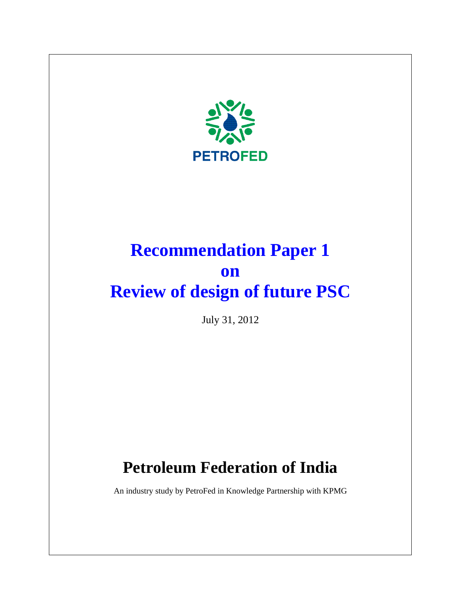

# **Recommendation Paper 1 on Review of design of future PSC**

July 31, 2012

# **Petroleum Federation of India**

An industry study by PetroFed in Knowledge Partnership with KPMG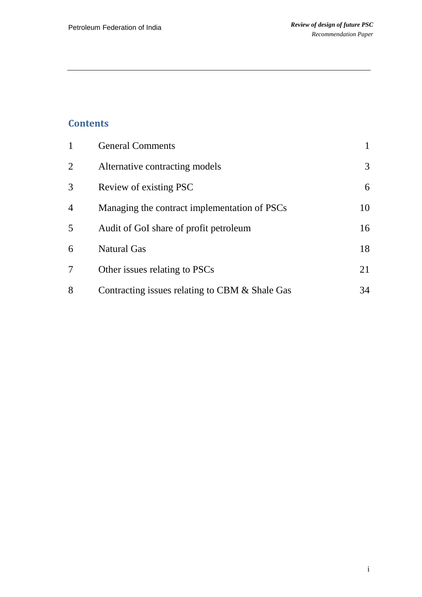# **Contents**

|                | <b>General Comments</b>                        |    |
|----------------|------------------------------------------------|----|
| 2              | Alternative contracting models                 | 3  |
| 3              | Review of existing PSC                         | 6  |
| $\overline{4}$ | Managing the contract implementation of PSCs   | 10 |
| 5              | Audit of GoI share of profit petroleum         | 16 |
| 6              | <b>Natural Gas</b>                             | 18 |
| 7              | Other issues relating to PSCs                  | 21 |
| 8              | Contracting issues relating to CBM & Shale Gas | 34 |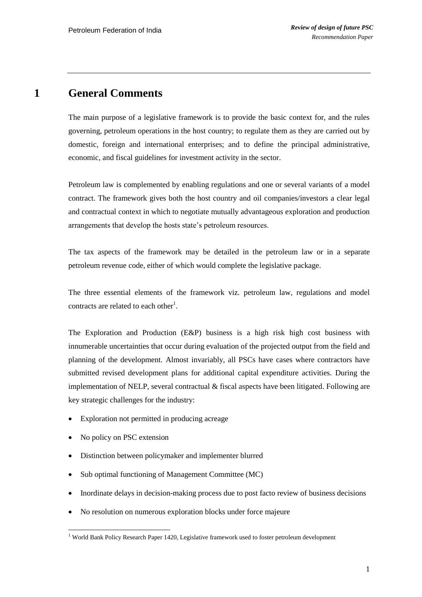### **1 General Comments**

<span id="page-2-0"></span>The main purpose of a legislative framework is to provide the basic context for, and the rules governing, petroleum operations in the host country; to regulate them as they are carried out by domestic, foreign and international enterprises; and to define the principal administrative, economic, and fiscal guidelines for investment activity in the sector.

Petroleum law is complemented by enabling regulations and one or several variants of a model contract. The framework gives both the host country and oil companies/investors a clear legal and contractual context in which to negotiate mutually advantageous exploration and production arrangements that develop the hosts state"s petroleum resources.

The tax aspects of the framework may be detailed in the petroleum law or in a separate petroleum revenue code, either of which would complete the legislative package.

The three essential elements of the framework viz. petroleum law, regulations and model contracts are related to each other<sup>1</sup>.

The Exploration and Production (E&P) business is a high risk high cost business with innumerable uncertainties that occur during evaluation of the projected output from the field and planning of the development. Almost invariably, all PSCs have cases where contractors have submitted revised development plans for additional capital expenditure activities. During the implementation of NELP, several contractual & fiscal aspects have been litigated. Following are key strategic challenges for the industry:

- Exploration not permitted in producing acreage
- No policy on PSC extension
- Distinction between policymaker and implementer blurred
- Sub optimal functioning of Management Committee (MC)
- Inordinate delays in decision-making process due to post facto review of business decisions
- No resolution on numerous exploration blocks under force majeure

 $\overline{a}$ <sup>1</sup> World Bank Policy Research Paper 1420, Legislative framework used to foster petroleum development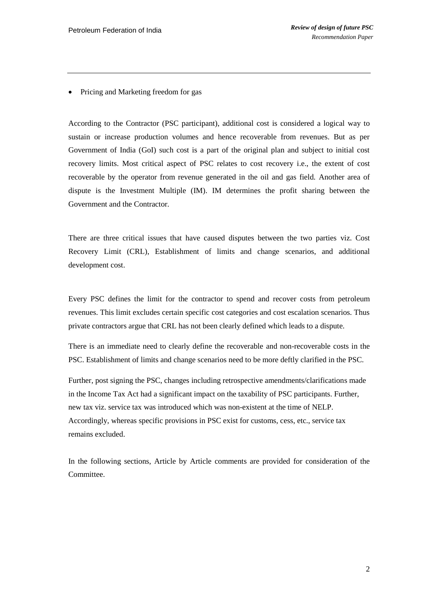• Pricing and Marketing freedom for gas

According to the Contractor (PSC participant), additional cost is considered a logical way to sustain or increase production volumes and hence recoverable from revenues. But as per Government of India (GoI) such cost is a part of the original plan and subject to initial cost recovery limits. Most critical aspect of PSC relates to cost recovery i.e., the extent of cost recoverable by the operator from revenue generated in the oil and gas field. Another area of dispute is the Investment Multiple (IM). IM determines the profit sharing between the Government and the Contractor.

There are three critical issues that have caused disputes between the two parties viz. Cost Recovery Limit (CRL), Establishment of limits and change scenarios, and additional development cost.

Every PSC defines the limit for the contractor to spend and recover costs from petroleum revenues. This limit excludes certain specific cost categories and cost escalation scenarios. Thus private contractors argue that CRL has not been clearly defined which leads to a dispute.

There is an immediate need to clearly define the recoverable and non-recoverable costs in the PSC. Establishment of limits and change scenarios need to be more deftly clarified in the PSC.

Further, post signing the PSC, changes including retrospective amendments/clarifications made in the Income Tax Act had a significant impact on the taxability of PSC participants. Further, new tax viz. service tax was introduced which was non-existent at the time of NELP. Accordingly, whereas specific provisions in PSC exist for customs, cess, etc., service tax remains excluded.

In the following sections, Article by Article comments are provided for consideration of the Committee.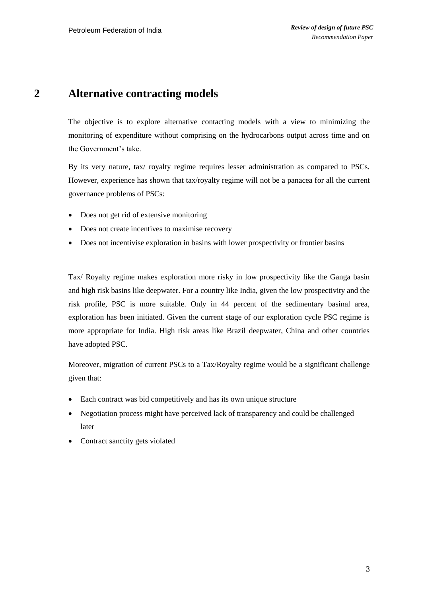### **2 Alternative contracting models**

<span id="page-4-0"></span>The objective is to explore alternative contacting models with a view to minimizing the monitoring of expenditure without comprising on the hydrocarbons output across time and on the Government's take.

By its very nature, tax/ royalty regime requires lesser administration as compared to PSCs. However, experience has shown that tax/royalty regime will not be a panacea for all the current governance problems of PSCs:

- Does not get rid of extensive monitoring
- Does not create incentives to maximise recovery
- Does not incentivise exploration in basins with lower prospectivity or frontier basins

Tax/ Royalty regime makes exploration more risky in low prospectivity like the Ganga basin and high risk basins like deepwater. For a country like India, given the low prospectivity and the risk profile, PSC is more suitable. Only in 44 percent of the sedimentary basinal area, exploration has been initiated. Given the current stage of our exploration cycle PSC regime is more appropriate for India. High risk areas like Brazil deepwater, China and other countries have adopted PSC.

Moreover, migration of current PSCs to a Tax/Royalty regime would be a significant challenge given that:

- Each contract was bid competitively and has its own unique structure
- Negotiation process might have perceived lack of transparency and could be challenged later
- Contract sanctity gets violated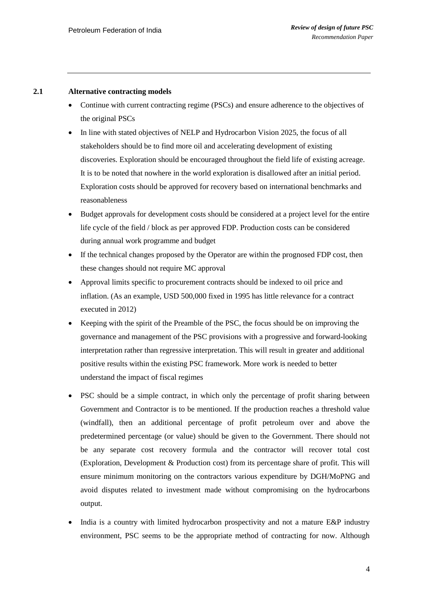#### **2.1 Alternative contracting models**

- Continue with current contracting regime (PSCs) and ensure adherence to the objectives of the original PSCs
- In line with stated objectives of NELP and Hydrocarbon Vision 2025, the focus of all stakeholders should be to find more oil and accelerating development of existing discoveries. Exploration should be encouraged throughout the field life of existing acreage. It is to be noted that nowhere in the world exploration is disallowed after an initial period. Exploration costs should be approved for recovery based on international benchmarks and reasonableness
- Budget approvals for development costs should be considered at a project level for the entire life cycle of the field / block as per approved FDP. Production costs can be considered during annual work programme and budget
- If the technical changes proposed by the Operator are within the prognosed FDP cost, then these changes should not require MC approval
- Approval limits specific to procurement contracts should be indexed to oil price and inflation. (As an example, USD 500,000 fixed in 1995 has little relevance for a contract executed in 2012)
- Keeping with the spirit of the Preamble of the PSC, the focus should be on improving the governance and management of the PSC provisions with a progressive and forward-looking interpretation rather than regressive interpretation. This will result in greater and additional positive results within the existing PSC framework. More work is needed to better understand the impact of fiscal regimes
- PSC should be a simple contract, in which only the percentage of profit sharing between Government and Contractor is to be mentioned. If the production reaches a threshold value (windfall), then an additional percentage of profit petroleum over and above the predetermined percentage (or value) should be given to the Government. There should not be any separate cost recovery formula and the contractor will recover total cost (Exploration, Development & Production cost) from its percentage share of profit. This will ensure minimum monitoring on the contractors various expenditure by DGH/MoPNG and avoid disputes related to investment made without compromising on the hydrocarbons output.
- India is a country with limited hydrocarbon prospectivity and not a mature E&P industry environment, PSC seems to be the appropriate method of contracting for now. Although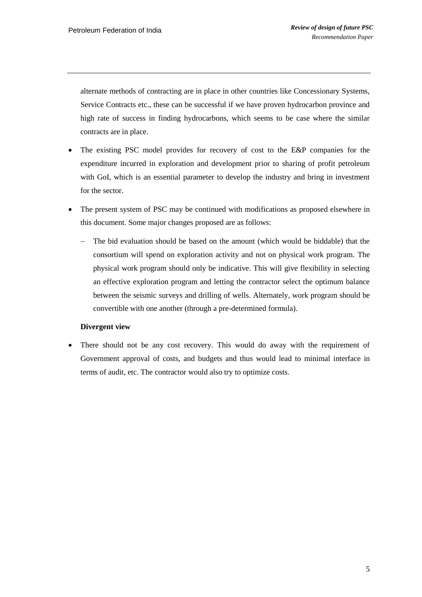alternate methods of contracting are in place in other countries like Concessionary Systems, Service Contracts etc., these can be successful if we have proven hydrocarbon province and high rate of success in finding hydrocarbons, which seems to be case where the similar contracts are in place.

- The existing PSC model provides for recovery of cost to the E&P companies for the expenditure incurred in exploration and development prior to sharing of profit petroleum with GoI, which is an essential parameter to develop the industry and bring in investment for the sector.
- The present system of PSC may be continued with modifications as proposed elsewhere in this document. Some major changes proposed are as follows:
	- The bid evaluation should be based on the amount (which would be biddable) that the consortium will spend on exploration activity and not on physical work program. The physical work program should only be indicative. This will give flexibility in selecting an effective exploration program and letting the contractor select the optimum balance between the seismic surveys and drilling of wells. Alternately, work program should be convertible with one another (through a pre-determined formula).

### **Divergent view**

 There should not be any cost recovery. This would do away with the requirement of Government approval of costs, and budgets and thus would lead to minimal interface in terms of audit, etc. The contractor would also try to optimize costs.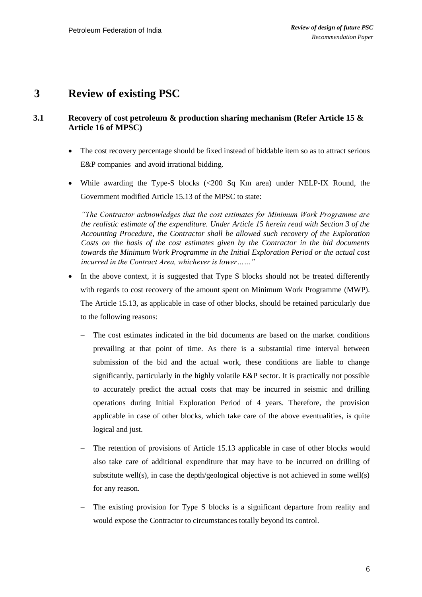# <span id="page-7-0"></span>**3 Review of existing PSC**

### **3.1 Recovery of cost petroleum & production sharing mechanism (Refer Article 15 & Article 16 of MPSC)**

- The cost recovery percentage should be fixed instead of biddable item so as to attract serious E&P companies and avoid irrational bidding.
- While awarding the Type-S blocks (<200 Sq Km area) under NELP-IX Round, the Government modified Article 15.13 of the MPSC to state:

*"The Contractor acknowledges that the cost estimates for Minimum Work Programme are the realistic estimate of the expenditure. Under Article 15 herein read with Section 3 of the Accounting Procedure, the Contractor shall be allowed such recovery of the Exploration Costs on the basis of the cost estimates given by the Contractor in the bid documents towards the Minimum Work Programme in the Initial Exploration Period or the actual cost incurred in the Contract Area, whichever is lower……"*

- In the above context, it is suggested that Type S blocks should not be treated differently with regards to cost recovery of the amount spent on Minimum Work Programme (MWP). The Article 15.13, as applicable in case of other blocks, should be retained particularly due to the following reasons:
	- The cost estimates indicated in the bid documents are based on the market conditions prevailing at that point of time. As there is a substantial time interval between submission of the bid and the actual work, these conditions are liable to change significantly, particularly in the highly volatile E&P sector. It is practically not possible to accurately predict the actual costs that may be incurred in seismic and drilling operations during Initial Exploration Period of 4 years. Therefore, the provision applicable in case of other blocks, which take care of the above eventualities, is quite logical and just.
	- The retention of provisions of Article 15.13 applicable in case of other blocks would also take care of additional expenditure that may have to be incurred on drilling of substitute well(s), in case the depth/geological objective is not achieved in some well(s) for any reason.
	- The existing provision for Type S blocks is a significant departure from reality and would expose the Contractor to circumstances totally beyond its control.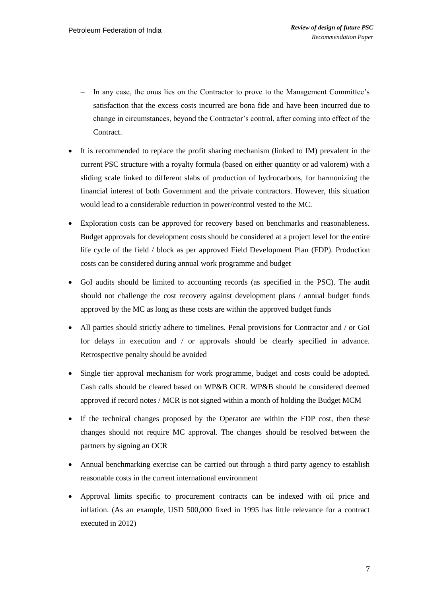- In any case, the onus lies on the Contractor to prove to the Management Committee's satisfaction that the excess costs incurred are bona fide and have been incurred due to change in circumstances, beyond the Contractor"s control, after coming into effect of the Contract.
- It is recommended to replace the profit sharing mechanism (linked to IM) prevalent in the current PSC structure with a royalty formula (based on either quantity or ad valorem) with a sliding scale linked to different slabs of production of hydrocarbons, for harmonizing the financial interest of both Government and the private contractors. However, this situation would lead to a considerable reduction in power/control vested to the MC.
- Exploration costs can be approved for recovery based on benchmarks and reasonableness. Budget approvals for development costs should be considered at a project level for the entire life cycle of the field / block as per approved Field Development Plan (FDP). Production costs can be considered during annual work programme and budget
- GoI audits should be limited to accounting records (as specified in the PSC). The audit should not challenge the cost recovery against development plans / annual budget funds approved by the MC as long as these costs are within the approved budget funds
- All parties should strictly adhere to timelines. Penal provisions for Contractor and / or GoI for delays in execution and / or approvals should be clearly specified in advance. Retrospective penalty should be avoided
- Single tier approval mechanism for work programme, budget and costs could be adopted. Cash calls should be cleared based on WP&B OCR. WP&B should be considered deemed approved if record notes / MCR is not signed within a month of holding the Budget MCM
- If the technical changes proposed by the Operator are within the FDP cost, then these changes should not require MC approval. The changes should be resolved between the partners by signing an OCR
- Annual benchmarking exercise can be carried out through a third party agency to establish reasonable costs in the current international environment
- Approval limits specific to procurement contracts can be indexed with oil price and inflation. (As an example, USD 500,000 fixed in 1995 has little relevance for a contract executed in 2012)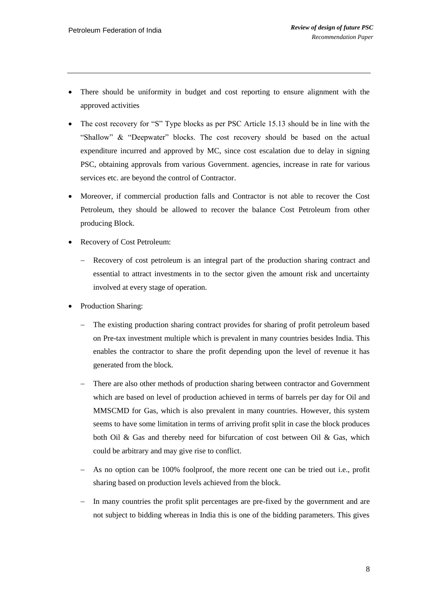- There should be uniformity in budget and cost reporting to ensure alignment with the approved activities
- The cost recovery for "S" Type blocks as per PSC Article 15.13 should be in line with the "Shallow" & "Deepwater" blocks. The cost recovery should be based on the actual expenditure incurred and approved by MC, since cost escalation due to delay in signing PSC, obtaining approvals from various Government. agencies, increase in rate for various services etc. are beyond the control of Contractor.
- Moreover, if commercial production falls and Contractor is not able to recover the Cost Petroleum, they should be allowed to recover the balance Cost Petroleum from other producing Block.
- Recovery of Cost Petroleum:
	- Recovery of cost petroleum is an integral part of the production sharing contract and essential to attract investments in to the sector given the amount risk and uncertainty involved at every stage of operation.
- Production Sharing:
	- The existing production sharing contract provides for sharing of profit petroleum based on Pre-tax investment multiple which is prevalent in many countries besides India. This enables the contractor to share the profit depending upon the level of revenue it has generated from the block.
	- There are also other methods of production sharing between contractor and Government which are based on level of production achieved in terms of barrels per day for Oil and MMSCMD for Gas, which is also prevalent in many countries. However, this system seems to have some limitation in terms of arriving profit split in case the block produces both Oil & Gas and thereby need for bifurcation of cost between Oil & Gas, which could be arbitrary and may give rise to conflict.
	- As no option can be 100% foolproof, the more recent one can be tried out i.e., profit sharing based on production levels achieved from the block.
	- In many countries the profit split percentages are pre-fixed by the government and are not subject to bidding whereas in India this is one of the bidding parameters. This gives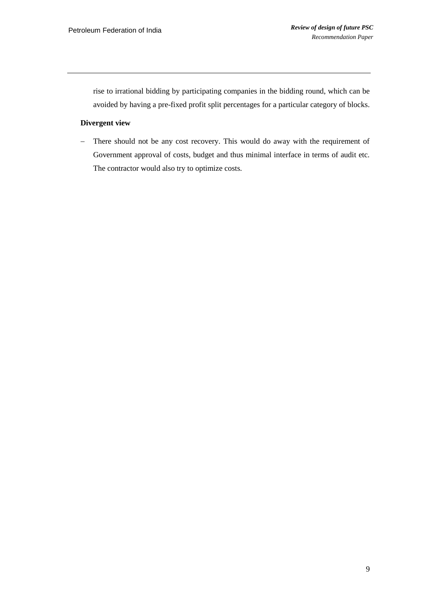rise to irrational bidding by participating companies in the bidding round, which can be avoided by having a pre-fixed profit split percentages for a particular category of blocks.

#### **Divergent view**

- There should not be any cost recovery. This would do away with the requirement of Government approval of costs, budget and thus minimal interface in terms of audit etc. The contractor would also try to optimize costs.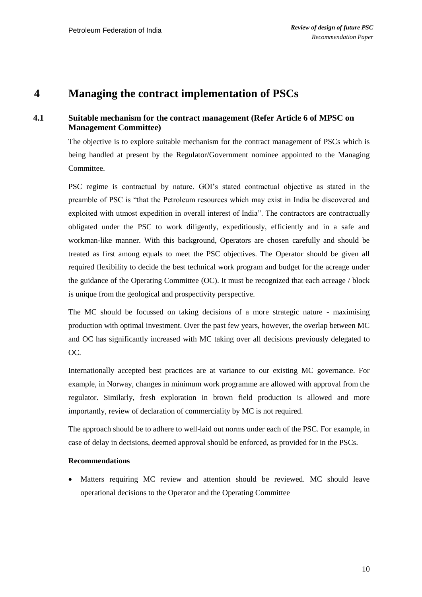## <span id="page-11-0"></span>**4 Managing the contract implementation of PSCs**

### **4.1 Suitable mechanism for the contract management (Refer Article 6 of MPSC on Management Committee)**

The objective is to explore suitable mechanism for the contract management of PSCs which is being handled at present by the Regulator/Government nominee appointed to the Managing Committee.

PSC regime is contractual by nature. GOI"s stated contractual objective as stated in the preamble of PSC is "that the Petroleum resources which may exist in India be discovered and exploited with utmost expedition in overall interest of India". The contractors are contractually obligated under the PSC to work diligently, expeditiously, efficiently and in a safe and workman-like manner. With this background, Operators are chosen carefully and should be treated as first among equals to meet the PSC objectives. The Operator should be given all required flexibility to decide the best technical work program and budget for the acreage under the guidance of the Operating Committee (OC). It must be recognized that each acreage / block is unique from the geological and prospectivity perspective.

The MC should be focussed on taking decisions of a more strategic nature - maximising production with optimal investment. Over the past few years, however, the overlap between MC and OC has significantly increased with MC taking over all decisions previously delegated to OC.

Internationally accepted best practices are at variance to our existing MC governance. For example, in Norway, changes in minimum work programme are allowed with approval from the regulator. Similarly, fresh exploration in brown field production is allowed and more importantly, review of declaration of commerciality by MC is not required.

The approach should be to adhere to well-laid out norms under each of the PSC. For example, in case of delay in decisions, deemed approval should be enforced, as provided for in the PSCs.

### **Recommendations**

 Matters requiring MC review and attention should be reviewed. MC should leave operational decisions to the Operator and the Operating Committee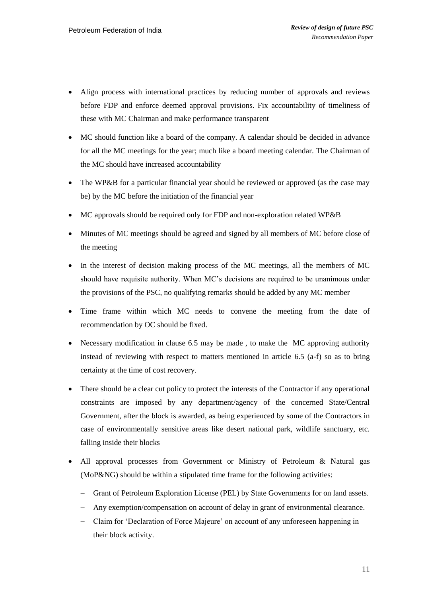- Align process with international practices by reducing number of approvals and reviews before FDP and enforce deemed approval provisions. Fix accountability of timeliness of these with MC Chairman and make performance transparent
- MC should function like a board of the company. A calendar should be decided in advance for all the MC meetings for the year; much like a board meeting calendar. The Chairman of the MC should have increased accountability
- The WP&B for a particular financial year should be reviewed or approved (as the case may be) by the MC before the initiation of the financial year
- MC approvals should be required only for FDP and non-exploration related WP&B
- Minutes of MC meetings should be agreed and signed by all members of MC before close of the meeting
- In the interest of decision making process of the MC meetings, all the members of MC should have requisite authority. When MC"s decisions are required to be unanimous under the provisions of the PSC, no qualifying remarks should be added by any MC member
- Time frame within which MC needs to convene the meeting from the date of recommendation by OC should be fixed.
- Necessary modification in clause 6.5 may be made , to make the MC approving authority instead of reviewing with respect to matters mentioned in article 6.5 (a-f) so as to bring certainty at the time of cost recovery.
- There should be a clear cut policy to protect the interests of the Contractor if any operational constraints are imposed by any department/agency of the concerned State/Central Government, after the block is awarded, as being experienced by some of the Contractors in case of environmentally sensitive areas like desert national park, wildlife sanctuary, etc. falling inside their blocks
- All approval processes from Government or Ministry of Petroleum & Natural gas (MoP&NG) should be within a stipulated time frame for the following activities:
	- Grant of Petroleum Exploration License (PEL) by State Governments for on land assets.
	- Any exemption/compensation on account of delay in grant of environmental clearance.
	- Claim for "Declaration of Force Majeure" on account of any unforeseen happening in their block activity.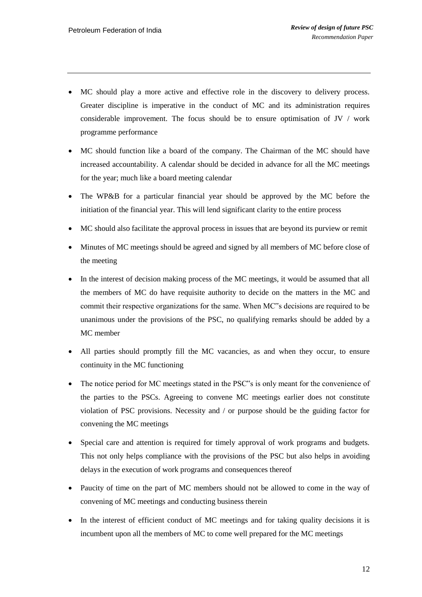- MC should play a more active and effective role in the discovery to delivery process. Greater discipline is imperative in the conduct of MC and its administration requires considerable improvement. The focus should be to ensure optimisation of JV / work programme performance
- MC should function like a board of the company. The Chairman of the MC should have increased accountability. A calendar should be decided in advance for all the MC meetings for the year; much like a board meeting calendar
- The WP&B for a particular financial year should be approved by the MC before the initiation of the financial year. This will lend significant clarity to the entire process
- MC should also facilitate the approval process in issues that are beyond its purview or remit
- Minutes of MC meetings should be agreed and signed by all members of MC before close of the meeting
- In the interest of decision making process of the MC meetings, it would be assumed that all the members of MC do have requisite authority to decide on the matters in the MC and commit their respective organizations for the same. When MC"s decisions are required to be unanimous under the provisions of the PSC, no qualifying remarks should be added by a MC member
- All parties should promptly fill the MC vacancies, as and when they occur, to ensure continuity in the MC functioning
- The notice period for MC meetings stated in the PSC"s is only meant for the convenience of the parties to the PSCs. Agreeing to convene MC meetings earlier does not constitute violation of PSC provisions. Necessity and / or purpose should be the guiding factor for convening the MC meetings
- Special care and attention is required for timely approval of work programs and budgets. This not only helps compliance with the provisions of the PSC but also helps in avoiding delays in the execution of work programs and consequences thereof
- Paucity of time on the part of MC members should not be allowed to come in the way of convening of MC meetings and conducting business therein
- In the interest of efficient conduct of MC meetings and for taking quality decisions it is incumbent upon all the members of MC to come well prepared for the MC meetings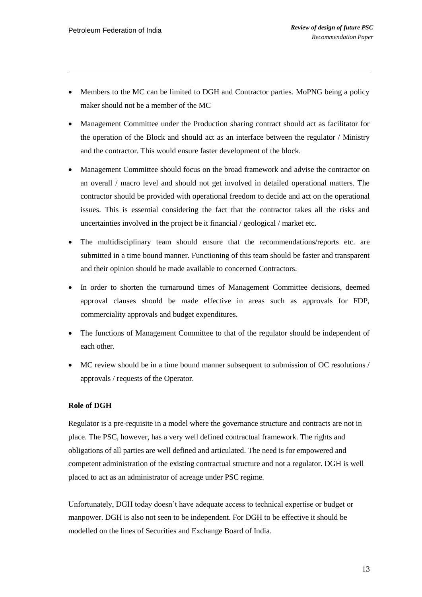- Members to the MC can be limited to DGH and Contractor parties. MoPNG being a policy maker should not be a member of the MC
- Management Committee under the Production sharing contract should act as facilitator for the operation of the Block and should act as an interface between the regulator / Ministry and the contractor. This would ensure faster development of the block.
- Management Committee should focus on the broad framework and advise the contractor on an overall / macro level and should not get involved in detailed operational matters. The contractor should be provided with operational freedom to decide and act on the operational issues. This is essential considering the fact that the contractor takes all the risks and uncertainties involved in the project be it financial / geological / market etc.
- The multidisciplinary team should ensure that the recommendations/reports etc. are submitted in a time bound manner. Functioning of this team should be faster and transparent and their opinion should be made available to concerned Contractors.
- In order to shorten the turnaround times of Management Committee decisions, deemed approval clauses should be made effective in areas such as approvals for FDP, commerciality approvals and budget expenditures.
- The functions of Management Committee to that of the regulator should be independent of each other.
- MC review should be in a time bound manner subsequent to submission of OC resolutions / approvals / requests of the Operator.

### **Role of DGH**

Regulator is a pre-requisite in a model where the governance structure and contracts are not in place. The PSC, however, has a very well defined contractual framework. The rights and obligations of all parties are well defined and articulated. The need is for empowered and competent administration of the existing contractual structure and not a regulator. DGH is well placed to act as an administrator of acreage under PSC regime.

Unfortunately, DGH today doesn"t have adequate access to technical expertise or budget or manpower. DGH is also not seen to be independent. For DGH to be effective it should be modelled on the lines of Securities and Exchange Board of India.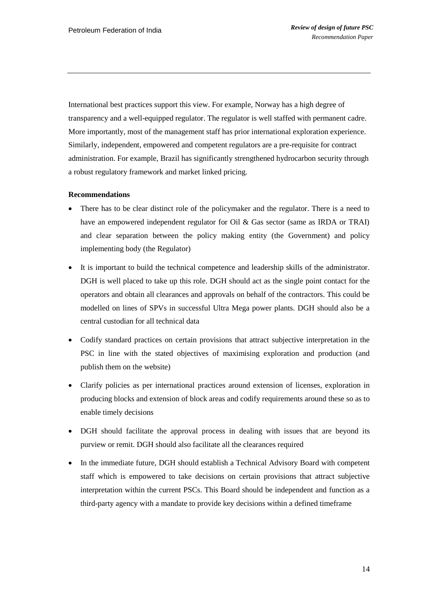International best practices support this view. For example, Norway has a high degree of transparency and a well-equipped regulator. The regulator is well staffed with permanent cadre. More importantly, most of the management staff has prior international exploration experience. Similarly, independent, empowered and competent regulators are a pre-requisite for contract administration. For example, Brazil has significantly strengthened hydrocarbon security through a robust regulatory framework and market linked pricing.

#### **Recommendations**

- There has to be clear distinct role of the policymaker and the regulator. There is a need to have an empowered independent regulator for Oil & Gas sector (same as IRDA or TRAI) and clear separation between the policy making entity (the Government) and policy implementing body (the Regulator)
- It is important to build the technical competence and leadership skills of the administrator. DGH is well placed to take up this role. DGH should act as the single point contact for the operators and obtain all clearances and approvals on behalf of the contractors. This could be modelled on lines of SPVs in successful Ultra Mega power plants. DGH should also be a central custodian for all technical data
- Codify standard practices on certain provisions that attract subjective interpretation in the PSC in line with the stated objectives of maximising exploration and production (and publish them on the website)
- Clarify policies as per international practices around extension of licenses, exploration in producing blocks and extension of block areas and codify requirements around these so as to enable timely decisions
- DGH should facilitate the approval process in dealing with issues that are beyond its purview or remit. DGH should also facilitate all the clearances required
- In the immediate future, DGH should establish a Technical Advisory Board with competent staff which is empowered to take decisions on certain provisions that attract subjective interpretation within the current PSCs. This Board should be independent and function as a third-party agency with a mandate to provide key decisions within a defined timeframe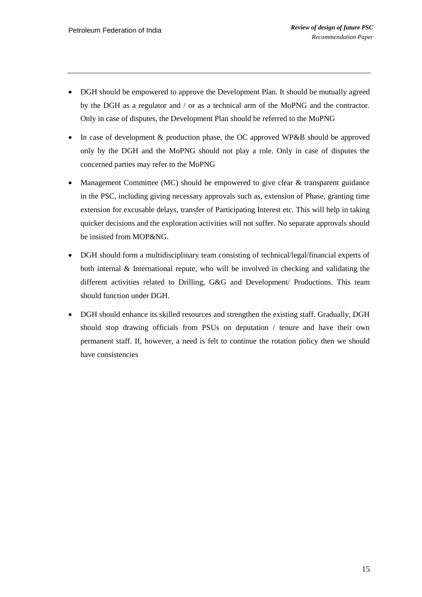- DGH should be empowered to approve the Development Plan. It should be mutually agreed by the DGH as a regulator and / or as a technical arm of the MoPNG and the contractor. Only in case of disputes, the Development Plan should be referred to the MoPNG
- In case of development & production phase, the OC approved WP&B should be approved only by the DGH and the MoPNG should not play a role. Only in case of disputes the concerned parties may refer to the MoPNG
- Management Committee (MC) should be empowered to give clear  $\&$  transparent guidance in the PSC, including giving necessary approvals such as, extension of Phase, granting time extension for excusable delays, transfer of Participating Interest etc. This will help in taking quicker decisions and the exploration activities will not suffer. No separate approvals should be insisted from MOP&NG.
- DGH should form a multidisciplinary team consisting of technical/legal/financial experts of both internal & International repute, who will be involved in checking and validating the different activities related to Drilling, G&G and Development/ Productions. This team should function under DGH.
- DGH should enhance its skilled resources and strengthen the existing staff. Gradually, DGH should stop drawing officials from PSUs on deputation / tenure and have their own permanent staff. If, however, a need is felt to continue the rotation policy then we should have consistencies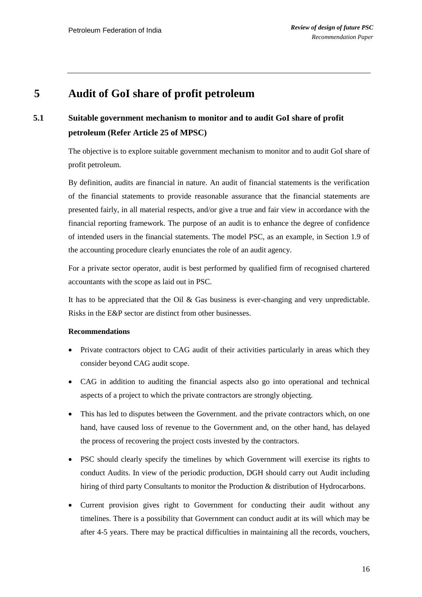### <span id="page-17-0"></span>**5 Audit of GoI share of profit petroleum**

# **5.1 Suitable government mechanism to monitor and to audit GoI share of profit petroleum (Refer Article 25 of MPSC)**

The objective is to explore suitable government mechanism to monitor and to audit GoI share of profit petroleum.

By definition, audits are financial in nature. An audit of financial statements is the verification of the financial statements to provide reasonable assurance that the financial statements are presented fairly, in all material respects, and/or give a true and fair view in accordance with the financial reporting framework. The purpose of an audit is to enhance the degree of confidence of intended users in the financial statements. The model PSC, as an example, in Section 1.9 of the accounting procedure clearly enunciates the role of an audit agency.

For a private sector operator, audit is best performed by qualified firm of recognised chartered accountants with the scope as laid out in PSC.

It has to be appreciated that the Oil & Gas business is ever-changing and very unpredictable. Risks in the E&P sector are distinct from other businesses.

#### **Recommendations**

- Private contractors object to CAG audit of their activities particularly in areas which they consider beyond CAG audit scope.
- CAG in addition to auditing the financial aspects also go into operational and technical aspects of a project to which the private contractors are strongly objecting.
- This has led to disputes between the Government. and the private contractors which, on one hand, have caused loss of revenue to the Government and, on the other hand, has delayed the process of recovering the project costs invested by the contractors.
- PSC should clearly specify the timelines by which Government will exercise its rights to conduct Audits. In view of the periodic production, DGH should carry out Audit including hiring of third party Consultants to monitor the Production & distribution of Hydrocarbons.
- Current provision gives right to Government for conducting their audit without any timelines. There is a possibility that Government can conduct audit at its will which may be after 4-5 years. There may be practical difficulties in maintaining all the records, vouchers,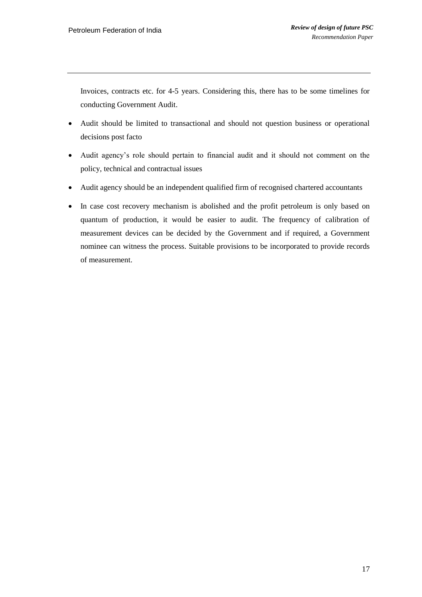Invoices, contracts etc. for 4-5 years. Considering this, there has to be some timelines for conducting Government Audit.

- Audit should be limited to transactional and should not question business or operational decisions post facto
- Audit agency"s role should pertain to financial audit and it should not comment on the policy, technical and contractual issues
- Audit agency should be an independent qualified firm of recognised chartered accountants
- In case cost recovery mechanism is abolished and the profit petroleum is only based on quantum of production, it would be easier to audit. The frequency of calibration of measurement devices can be decided by the Government and if required, a Government nominee can witness the process. Suitable provisions to be incorporated to provide records of measurement.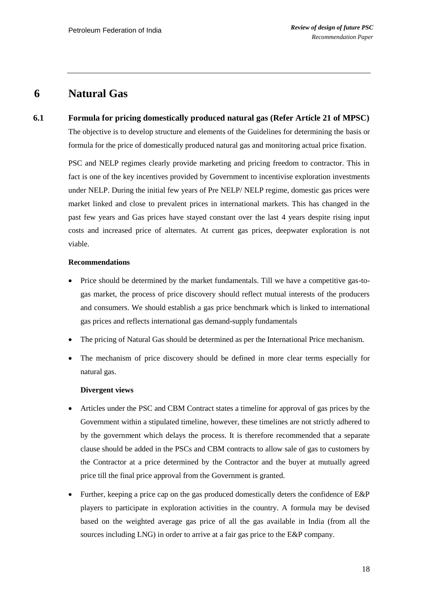### <span id="page-19-0"></span>**6 Natural Gas**

**6.1 Formula for pricing domestically produced natural gas (Refer Article 21 of MPSC)** The objective is to develop structure and elements of the Guidelines for determining the basis or formula for the price of domestically produced natural gas and monitoring actual price fixation.

> PSC and NELP regimes clearly provide marketing and pricing freedom to contractor. This in fact is one of the key incentives provided by Government to incentivise exploration investments under NELP. During the initial few years of Pre NELP/ NELP regime, domestic gas prices were market linked and close to prevalent prices in international markets. This has changed in the past few years and Gas prices have stayed constant over the last 4 years despite rising input costs and increased price of alternates. At current gas prices, deepwater exploration is not viable.

#### **Recommendations**

- Price should be determined by the market fundamentals. Till we have a competitive gas-togas market, the process of price discovery should reflect mutual interests of the producers and consumers. We should establish a gas price benchmark which is linked to international gas prices and reflects international gas demand-supply fundamentals
- The pricing of Natural Gas should be determined as per the International Price mechanism.
- The mechanism of price discovery should be defined in more clear terms especially for natural gas.

### **Divergent views**

- Articles under the PSC and CBM Contract states a timeline for approval of gas prices by the Government within a stipulated timeline, however, these timelines are not strictly adhered to by the government which delays the process. It is therefore recommended that a separate clause should be added in the PSCs and CBM contracts to allow sale of gas to customers by the Contractor at a price determined by the Contractor and the buyer at mutually agreed price till the final price approval from the Government is granted.
- Further, keeping a price cap on the gas produced domestically deters the confidence of E&P players to participate in exploration activities in the country. A formula may be devised based on the weighted average gas price of all the gas available in India (from all the sources including LNG) in order to arrive at a fair gas price to the E&P company.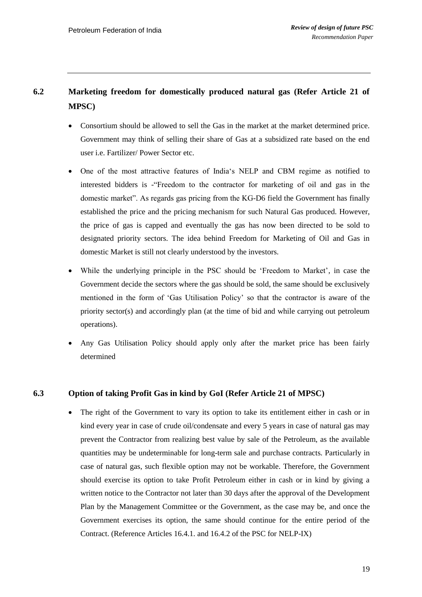# **6.2 Marketing freedom for domestically produced natural gas (Refer Article 21 of MPSC)**

- Consortium should be allowed to sell the Gas in the market at the market determined price. Government may think of selling their share of Gas at a subsidized rate based on the end user i.e. Fartilizer/ Power Sector etc.
- One of the most attractive features of India"s NELP and CBM regime as notified to interested bidders is -"Freedom to the contractor for marketing of oil and gas in the domestic market". As regards gas pricing from the KG-D6 field the Government has finally established the price and the pricing mechanism for such Natural Gas produced. However, the price of gas is capped and eventually the gas has now been directed to be sold to designated priority sectors. The idea behind Freedom for Marketing of Oil and Gas in domestic Market is still not clearly understood by the investors.
- While the underlying principle in the PSC should be "Freedom to Market", in case the Government decide the sectors where the gas should be sold, the same should be exclusively mentioned in the form of "Gas Utilisation Policy" so that the contractor is aware of the priority sector(s) and accordingly plan (at the time of bid and while carrying out petroleum operations).
- Any Gas Utilisation Policy should apply only after the market price has been fairly determined

### **6.3 Option of taking Profit Gas in kind by GoI (Refer Article 21 of MPSC)**

 The right of the Government to vary its option to take its entitlement either in cash or in kind every year in case of crude oil/condensate and every 5 years in case of natural gas may prevent the Contractor from realizing best value by sale of the Petroleum, as the available quantities may be undeterminable for long-term sale and purchase contracts. Particularly in case of natural gas, such flexible option may not be workable. Therefore, the Government should exercise its option to take Profit Petroleum either in cash or in kind by giving a written notice to the Contractor not later than 30 days after the approval of the Development Plan by the Management Committee or the Government, as the case may be, and once the Government exercises its option, the same should continue for the entire period of the Contract. (Reference Articles 16.4.1. and 16.4.2 of the PSC for NELP-IX)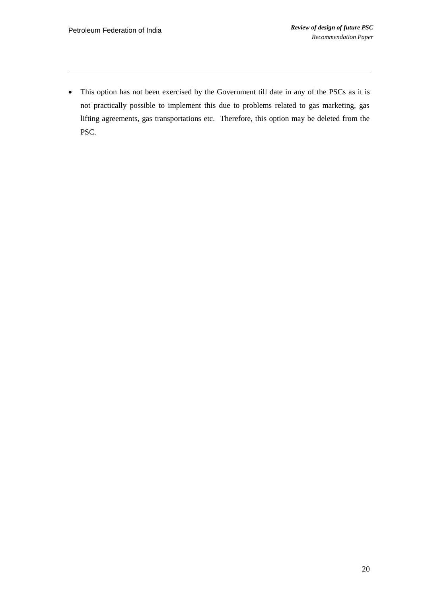This option has not been exercised by the Government till date in any of the PSCs as it is not practically possible to implement this due to problems related to gas marketing, gas lifting agreements, gas transportations etc. Therefore, this option may be deleted from the PSC.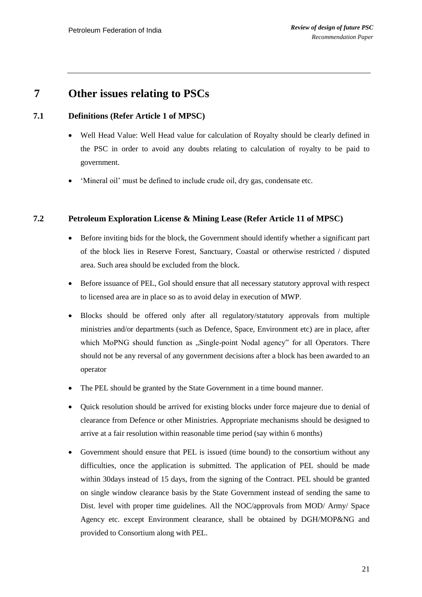### <span id="page-22-0"></span>**7 Other issues relating to PSCs**

### **7.1 Definitions (Refer Article 1 of MPSC)**

- Well Head Value: Well Head value for calculation of Royalty should be clearly defined in the PSC in order to avoid any doubts relating to calculation of royalty to be paid to government.
- "Mineral oil" must be defined to include crude oil, dry gas, condensate etc.

### **7.2 Petroleum Exploration License & Mining Lease (Refer Article 11 of MPSC)**

- Before inviting bids for the block, the Government should identify whether a significant part of the block lies in Reserve Forest, Sanctuary, Coastal or otherwise restricted / disputed area. Such area should be excluded from the block.
- Before issuance of PEL, GoI should ensure that all necessary statutory approval with respect to licensed area are in place so as to avoid delay in execution of MWP.
- Blocks should be offered only after all regulatory/statutory approvals from multiple ministries and/or departments (such as Defence, Space, Environment etc) are in place, after which MoPNG should function as "Single-point Nodal agency" for all Operators. There should not be any reversal of any government decisions after a block has been awarded to an operator
- The PEL should be granted by the State Government in a time bound manner.
- Quick resolution should be arrived for existing blocks under force majeure due to denial of clearance from Defence or other Ministries. Appropriate mechanisms should be designed to arrive at a fair resolution within reasonable time period (say within 6 months)
- Government should ensure that PEL is issued (time bound) to the consortium without any difficulties, once the application is submitted. The application of PEL should be made within 30days instead of 15 days, from the signing of the Contract. PEL should be granted on single window clearance basis by the State Government instead of sending the same to Dist. level with proper time guidelines. All the NOC/approvals from MOD/ Army/ Space Agency etc. except Environment clearance, shall be obtained by DGH/MOP&NG and provided to Consortium along with PEL.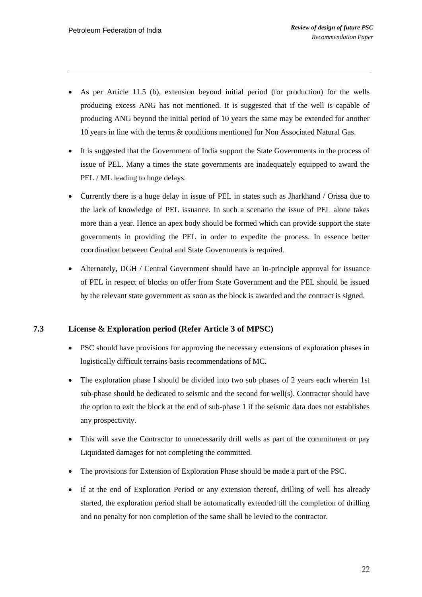- As per Article 11.5 (b), extension beyond initial period (for production) for the wells producing excess ANG has not mentioned. It is suggested that if the well is capable of producing ANG beyond the initial period of 10 years the same may be extended for another 10 years in line with the terms & conditions mentioned for Non Associated Natural Gas.
- It is suggested that the Government of India support the State Governments in the process of issue of PEL. Many a times the state governments are inadequately equipped to award the PEL / ML leading to huge delays.
- Currently there is a huge delay in issue of PEL in states such as Jharkhand / Orissa due to the lack of knowledge of PEL issuance. In such a scenario the issue of PEL alone takes more than a year. Hence an apex body should be formed which can provide support the state governments in providing the PEL in order to expedite the process. In essence better coordination between Central and State Governments is required.
- Alternately, DGH / Central Government should have an in-principle approval for issuance of PEL in respect of blocks on offer from State Government and the PEL should be issued by the relevant state government as soon as the block is awarded and the contract is signed.

### **7.3 License & Exploration period (Refer Article 3 of MPSC)**

- PSC should have provisions for approving the necessary extensions of exploration phases in logistically difficult terrains basis recommendations of MC.
- The exploration phase I should be divided into two sub phases of 2 years each wherein 1st sub-phase should be dedicated to seismic and the second for well(s). Contractor should have the option to exit the block at the end of sub-phase 1 if the seismic data does not establishes any prospectivity.
- This will save the Contractor to unnecessarily drill wells as part of the commitment or pay Liquidated damages for not completing the committed.
- The provisions for Extension of Exploration Phase should be made a part of the PSC.
- If at the end of Exploration Period or any extension thereof, drilling of well has already started, the exploration period shall be automatically extended till the completion of drilling and no penalty for non completion of the same shall be levied to the contractor.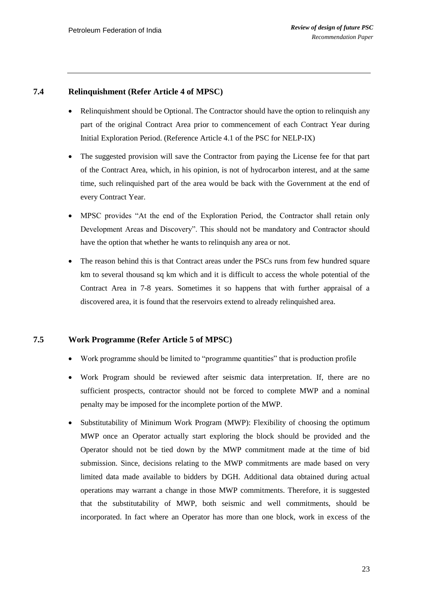### **7.4 Relinquishment (Refer Article 4 of MPSC)**

- Relinquishment should be Optional. The Contractor should have the option to relinquish any part of the original Contract Area prior to commencement of each Contract Year during Initial Exploration Period. (Reference Article 4.1 of the PSC for NELP-IX)
- The suggested provision will save the Contractor from paying the License fee for that part of the Contract Area, which, in his opinion, is not of hydrocarbon interest, and at the same time, such relinquished part of the area would be back with the Government at the end of every Contract Year.
- MPSC provides "At the end of the Exploration Period, the Contractor shall retain only Development Areas and Discovery". This should not be mandatory and Contractor should have the option that whether he wants to relinquish any area or not.
- The reason behind this is that Contract areas under the PSCs runs from few hundred square km to several thousand sq km which and it is difficult to access the whole potential of the Contract Area in 7-8 years. Sometimes it so happens that with further appraisal of a discovered area, it is found that the reservoirs extend to already relinquished area.

### **7.5 Work Programme (Refer Article 5 of MPSC)**

- Work programme should be limited to "programme quantities" that is production profile
- Work Program should be reviewed after seismic data interpretation. If, there are no sufficient prospects, contractor should not be forced to complete MWP and a nominal penalty may be imposed for the incomplete portion of the MWP.
- Substitutability of Minimum Work Program (MWP): Flexibility of choosing the optimum MWP once an Operator actually start exploring the block should be provided and the Operator should not be tied down by the MWP commitment made at the time of bid submission. Since, decisions relating to the MWP commitments are made based on very limited data made available to bidders by DGH. Additional data obtained during actual operations may warrant a change in those MWP commitments. Therefore, it is suggested that the substitutability of MWP, both seismic and well commitments, should be incorporated. In fact where an Operator has more than one block, work in excess of the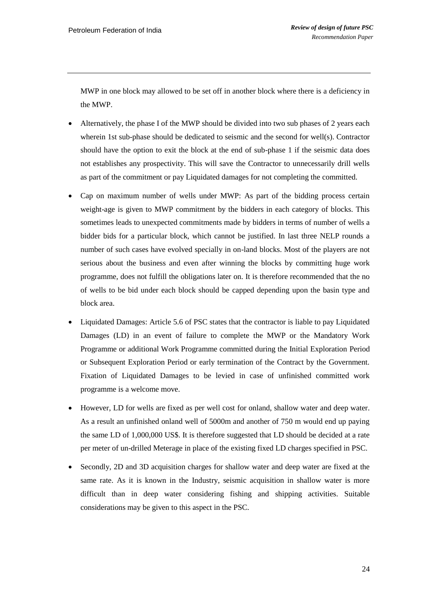MWP in one block may allowed to be set off in another block where there is a deficiency in the MWP.

- Alternatively, the phase I of the MWP should be divided into two sub phases of 2 years each wherein 1st sub-phase should be dedicated to seismic and the second for well(s). Contractor should have the option to exit the block at the end of sub-phase 1 if the seismic data does not establishes any prospectivity. This will save the Contractor to unnecessarily drill wells as part of the commitment or pay Liquidated damages for not completing the committed.
- Cap on maximum number of wells under MWP: As part of the bidding process certain weight-age is given to MWP commitment by the bidders in each category of blocks. This sometimes leads to unexpected commitments made by bidders in terms of number of wells a bidder bids for a particular block, which cannot be justified. In last three NELP rounds a number of such cases have evolved specially in on-land blocks. Most of the players are not serious about the business and even after winning the blocks by committing huge work programme, does not fulfill the obligations later on. It is therefore recommended that the no of wells to be bid under each block should be capped depending upon the basin type and block area.
- Liquidated Damages: Article 5.6 of PSC states that the contractor is liable to pay Liquidated Damages (LD) in an event of failure to complete the MWP or the Mandatory Work Programme or additional Work Programme committed during the Initial Exploration Period or Subsequent Exploration Period or early termination of the Contract by the Government. Fixation of Liquidated Damages to be levied in case of unfinished committed work programme is a welcome move.
- However, LD for wells are fixed as per well cost for onland, shallow water and deep water. As a result an unfinished onland well of 5000m and another of 750 m would end up paying the same LD of 1,000,000 US\$. It is therefore suggested that LD should be decided at a rate per meter of un-drilled Meterage in place of the existing fixed LD charges specified in PSC.
- Secondly, 2D and 3D acquisition charges for shallow water and deep water are fixed at the same rate. As it is known in the Industry, seismic acquisition in shallow water is more difficult than in deep water considering fishing and shipping activities. Suitable considerations may be given to this aspect in the PSC.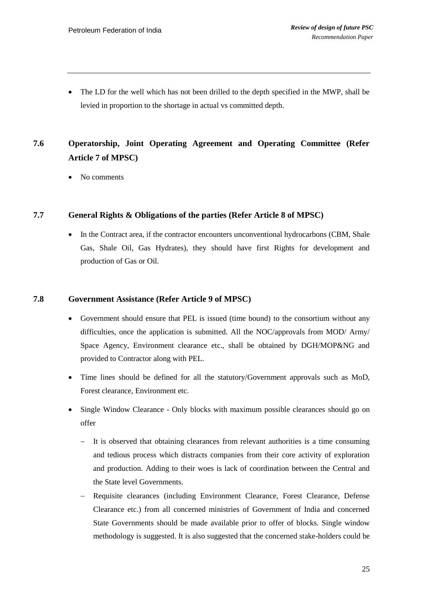• The LD for the well which has not been drilled to the depth specified in the MWP, shall be levied in proportion to the shortage in actual vs committed depth.

# **7.6 Operatorship, Joint Operating Agreement and Operating Committee (Refer Article 7 of MPSC)**

No comments

### **7.7 General Rights & Obligations of the parties (Refer Article 8 of MPSC)**

• In the Contract area, if the contractor encounters unconventional hydrocarbons (CBM, Shale Gas, Shale Oil, Gas Hydrates), they should have first Rights for development and production of Gas or Oil.

### **7.8 Government Assistance (Refer Article 9 of MPSC)**

- Government should ensure that PEL is issued (time bound) to the consortium without any difficulties, once the application is submitted. All the NOC/approvals from MOD/ Army/ Space Agency, Environment clearance etc., shall be obtained by DGH/MOP&NG and provided to Contractor along with PEL.
- Time lines should be defined for all the statutory/Government approvals such as MoD, Forest clearance, Environment etc.
- Single Window Clearance Only blocks with maximum possible clearances should go on offer
	- It is observed that obtaining clearances from relevant authorities is a time consuming and tedious process which distracts companies from their core activity of exploration and production. Adding to their woes is lack of coordination between the Central and the State level Governments.
	- Requisite clearances (including Environment Clearance, Forest Clearance, Defense Clearance etc.) from all concerned ministries of Government of India and concerned State Governments should be made available prior to offer of blocks. Single window methodology is suggested. It is also suggested that the concerned stake-holders could be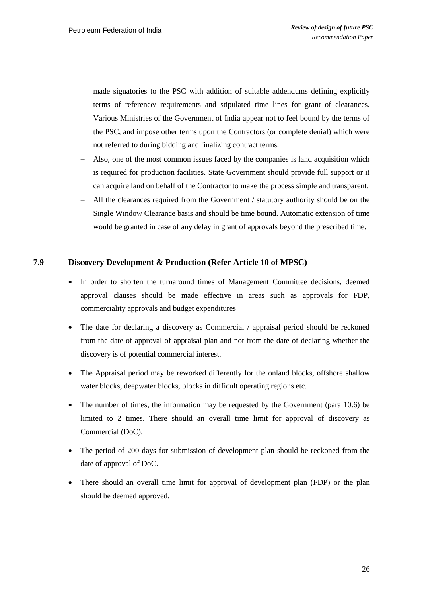made signatories to the PSC with addition of suitable addendums defining explicitly terms of reference/ requirements and stipulated time lines for grant of clearances. Various Ministries of the Government of India appear not to feel bound by the terms of the PSC, and impose other terms upon the Contractors (or complete denial) which were not referred to during bidding and finalizing contract terms.

- Also, one of the most common issues faced by the companies is land acquisition which is required for production facilities. State Government should provide full support or it can acquire land on behalf of the Contractor to make the process simple and transparent.
- All the clearances required from the Government / statutory authority should be on the Single Window Clearance basis and should be time bound. Automatic extension of time would be granted in case of any delay in grant of approvals beyond the prescribed time.

### **7.9 Discovery Development & Production (Refer Article 10 of MPSC)**

- In order to shorten the turnaround times of Management Committee decisions, deemed approval clauses should be made effective in areas such as approvals for FDP, commerciality approvals and budget expenditures
- The date for declaring a discovery as Commercial / appraisal period should be reckoned from the date of approval of appraisal plan and not from the date of declaring whether the discovery is of potential commercial interest.
- The Appraisal period may be reworked differently for the onland blocks, offshore shallow water blocks, deepwater blocks, blocks in difficult operating regions etc.
- The number of times, the information may be requested by the Government (para 10.6) be limited to 2 times. There should an overall time limit for approval of discovery as Commercial (DoC).
- The period of 200 days for submission of development plan should be reckoned from the date of approval of DoC.
- There should an overall time limit for approval of development plan (FDP) or the plan should be deemed approved.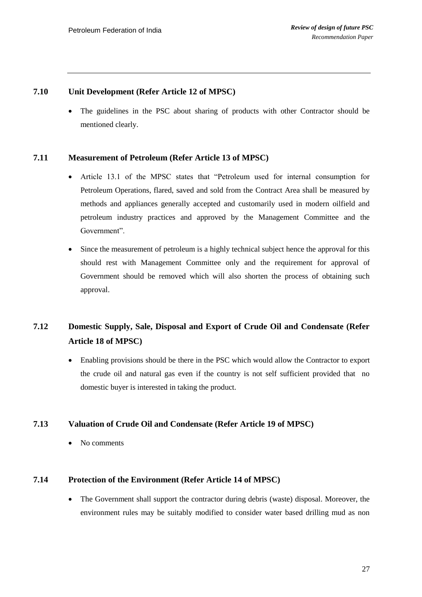### **7.10 Unit Development (Refer Article 12 of MPSC)**

 The guidelines in the PSC about sharing of products with other Contractor should be mentioned clearly.

### **7.11 Measurement of Petroleum (Refer Article 13 of MPSC)**

- Article 13.1 of the MPSC states that "Petroleum used for internal consumption for Petroleum Operations, flared, saved and sold from the Contract Area shall be measured by methods and appliances generally accepted and customarily used in modern oilfield and petroleum industry practices and approved by the Management Committee and the Government".
- Since the measurement of petroleum is a highly technical subject hence the approval for this should rest with Management Committee only and the requirement for approval of Government should be removed which will also shorten the process of obtaining such approval.

### **7.12 Domestic Supply, Sale, Disposal and Export of Crude Oil and Condensate (Refer Article 18 of MPSC)**

 Enabling provisions should be there in the PSC which would allow the Contractor to export the crude oil and natural gas even if the country is not self sufficient provided that no domestic buyer is interested in taking the product.

### **7.13 Valuation of Crude Oil and Condensate (Refer Article 19 of MPSC)**

No comments

### **7.14 Protection of the Environment (Refer Article 14 of MPSC)**

 The Government shall support the contractor during debris (waste) disposal. Moreover, the environment rules may be suitably modified to consider water based drilling mud as non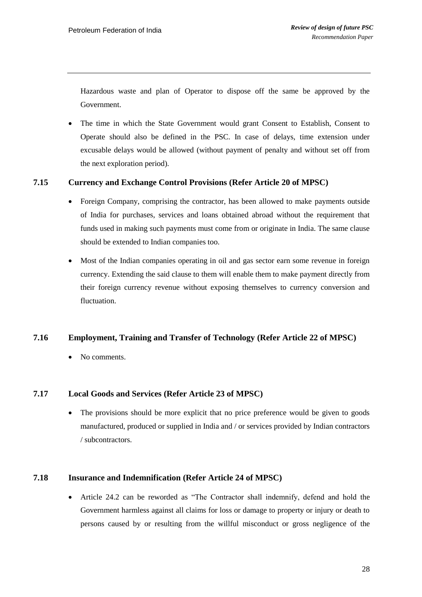Hazardous waste and plan of Operator to dispose off the same be approved by the Government.

 The time in which the State Government would grant Consent to Establish, Consent to Operate should also be defined in the PSC. In case of delays, time extension under excusable delays would be allowed (without payment of penalty and without set off from the next exploration period).

### **7.15 Currency and Exchange Control Provisions (Refer Article 20 of MPSC)**

- Foreign Company, comprising the contractor, has been allowed to make payments outside of India for purchases, services and loans obtained abroad without the requirement that funds used in making such payments must come from or originate in India. The same clause should be extended to Indian companies too.
- Most of the Indian companies operating in oil and gas sector earn some revenue in foreign currency. Extending the said clause to them will enable them to make payment directly from their foreign currency revenue without exposing themselves to currency conversion and fluctuation.

### **7.16 Employment, Training and Transfer of Technology (Refer Article 22 of MPSC)**

No comments.

### **7.17 Local Goods and Services (Refer Article 23 of MPSC)**

 The provisions should be more explicit that no price preference would be given to goods manufactured, produced or supplied in India and / or services provided by Indian contractors / subcontractors.

### **7.18 Insurance and Indemnification (Refer Article 24 of MPSC)**

 Article 24.2 can be reworded as "The Contractor shall indemnify, defend and hold the Government harmless against all claims for loss or damage to property or injury or death to persons caused by or resulting from the willful misconduct or gross negligence of the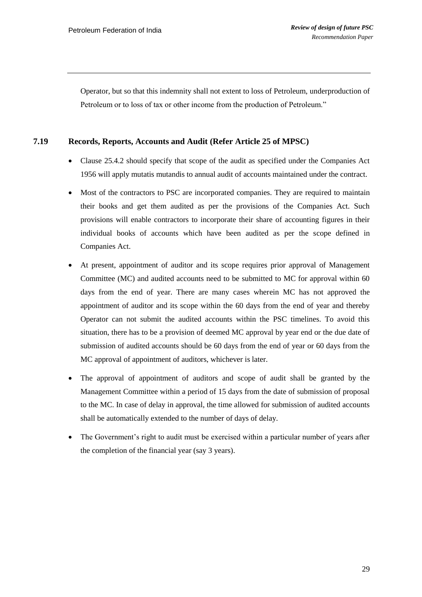Operator, but so that this indemnity shall not extent to loss of Petroleum, underproduction of Petroleum or to loss of tax or other income from the production of Petroleum."

### **7.19 Records, Reports, Accounts and Audit (Refer Article 25 of MPSC)**

- Clause 25.4.2 should specify that scope of the audit as specified under the Companies Act 1956 will apply mutatis mutandis to annual audit of accounts maintained under the contract.
- Most of the contractors to PSC are incorporated companies. They are required to maintain their books and get them audited as per the provisions of the Companies Act. Such provisions will enable contractors to incorporate their share of accounting figures in their individual books of accounts which have been audited as per the scope defined in Companies Act.
- At present, appointment of auditor and its scope requires prior approval of Management Committee (MC) and audited accounts need to be submitted to MC for approval within 60 days from the end of year. There are many cases wherein MC has not approved the appointment of auditor and its scope within the 60 days from the end of year and thereby Operator can not submit the audited accounts within the PSC timelines. To avoid this situation, there has to be a provision of deemed MC approval by year end or the due date of submission of audited accounts should be 60 days from the end of year or 60 days from the MC approval of appointment of auditors, whichever is later.
- The approval of appointment of auditors and scope of audit shall be granted by the Management Committee within a period of 15 days from the date of submission of proposal to the MC. In case of delay in approval, the time allowed for submission of audited accounts shall be automatically extended to the number of days of delay.
- The Government's right to audit must be exercised within a particular number of years after the completion of the financial year (say 3 years).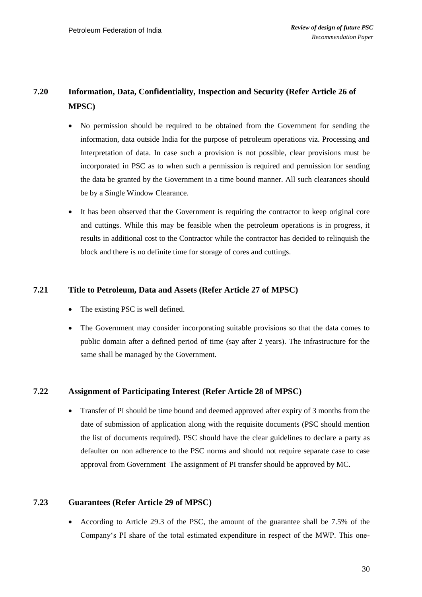# **7.20 Information, Data, Confidentiality, Inspection and Security (Refer Article 26 of MPSC)**

- No permission should be required to be obtained from the Government for sending the information, data outside India for the purpose of petroleum operations viz. Processing and Interpretation of data. In case such a provision is not possible, clear provisions must be incorporated in PSC as to when such a permission is required and permission for sending the data be granted by the Government in a time bound manner. All such clearances should be by a Single Window Clearance.
- It has been observed that the Government is requiring the contractor to keep original core and cuttings. While this may be feasible when the petroleum operations is in progress, it results in additional cost to the Contractor while the contractor has decided to relinquish the block and there is no definite time for storage of cores and cuttings.

### **7.21 Title to Petroleum, Data and Assets (Refer Article 27 of MPSC)**

- The existing PSC is well defined.
- The Government may consider incorporating suitable provisions so that the data comes to public domain after a defined period of time (say after 2 years). The infrastructure for the same shall be managed by the Government.

### **7.22 Assignment of Participating Interest (Refer Article 28 of MPSC)**

 Transfer of PI should be time bound and deemed approved after expiry of 3 months from the date of submission of application along with the requisite documents (PSC should mention the list of documents required). PSC should have the clear guidelines to declare a party as defaulter on non adherence to the PSC norms and should not require separate case to case approval from Government The assignment of PI transfer should be approved by MC.

### **7.23 Guarantees (Refer Article 29 of MPSC)**

 According to Article 29.3 of the PSC, the amount of the guarantee shall be 7.5% of the Company"s PI share of the total estimated expenditure in respect of the MWP. This one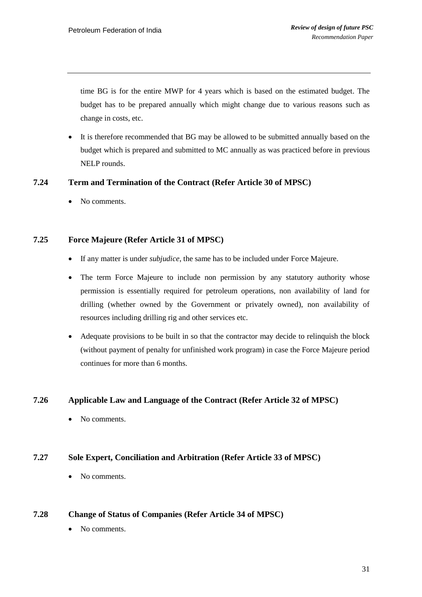time BG is for the entire MWP for 4 years which is based on the estimated budget. The budget has to be prepared annually which might change due to various reasons such as change in costs, etc.

• It is therefore recommended that BG may be allowed to be submitted annually based on the budget which is prepared and submitted to MC annually as was practiced before in previous NELP rounds.

### **7.24 Term and Termination of the Contract (Refer Article 30 of MPSC)**

• No comments.

### **7.25 Force Majeure (Refer Article 31 of MPSC)**

- If any matter is under *subjudice*, the same has to be included under Force Majeure.
- The term Force Majeure to include non permission by any statutory authority whose permission is essentially required for petroleum operations, non availability of land for drilling (whether owned by the Government or privately owned), non availability of resources including drilling rig and other services etc.
- Adequate provisions to be built in so that the contractor may decide to relinquish the block (without payment of penalty for unfinished work program) in case the Force Majeure period continues for more than 6 months.

### **7.26 Applicable Law and Language of the Contract (Refer Article 32 of MPSC)**

• No comments.

### **7.27 Sole Expert, Conciliation and Arbitration (Refer Article 33 of MPSC)**

No comments.

### **7.28 Change of Status of Companies (Refer Article 34 of MPSC)**

• No comments.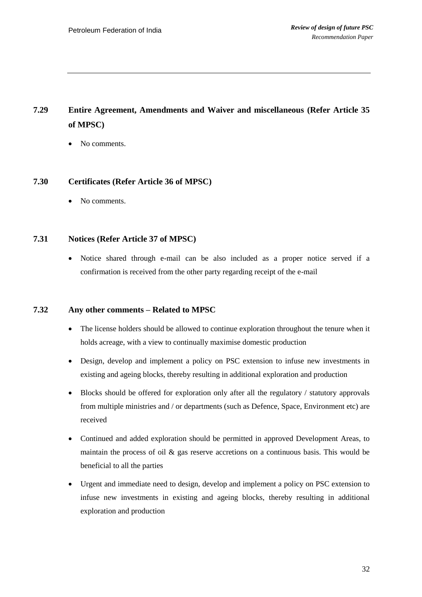# **7.29 Entire Agreement, Amendments and Waiver and miscellaneous (Refer Article 35 of MPSC)**

• No comments.

### **7.30 Certificates (Refer Article 36 of MPSC)**

• No comments.

### **7.31 Notices (Refer Article 37 of MPSC)**

 Notice shared through e-mail can be also included as a proper notice served if a confirmation is received from the other party regarding receipt of the e-mail

### **7.32 Any other comments – Related to MPSC**

- The license holders should be allowed to continue exploration throughout the tenure when it holds acreage, with a view to continually maximise domestic production
- Design, develop and implement a policy on PSC extension to infuse new investments in existing and ageing blocks, thereby resulting in additional exploration and production
- Blocks should be offered for exploration only after all the regulatory / statutory approvals from multiple ministries and / or departments (such as Defence, Space, Environment etc) are received
- Continued and added exploration should be permitted in approved Development Areas, to maintain the process of oil  $\&$  gas reserve accretions on a continuous basis. This would be beneficial to all the parties
- Urgent and immediate need to design, develop and implement a policy on PSC extension to infuse new investments in existing and ageing blocks, thereby resulting in additional exploration and production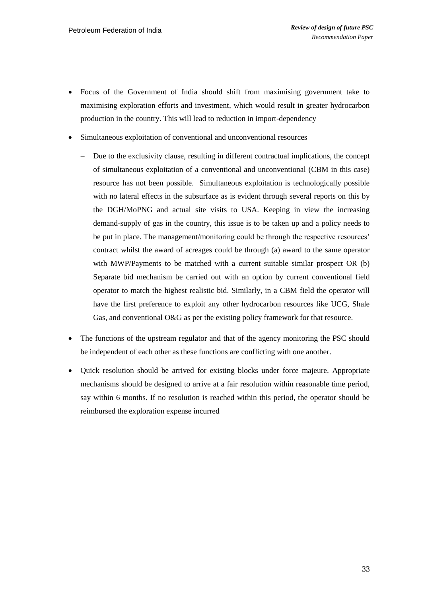- Focus of the Government of India should shift from maximising government take to maximising exploration efforts and investment, which would result in greater hydrocarbon production in the country. This will lead to reduction in import-dependency
- Simultaneous exploitation of conventional and unconventional resources
	- Due to the exclusivity clause, resulting in different contractual implications, the concept of simultaneous exploitation of a conventional and unconventional (CBM in this case) resource has not been possible. Simultaneous exploitation is technologically possible with no lateral effects in the subsurface as is evident through several reports on this by the DGH/MoPNG and actual site visits to USA. Keeping in view the increasing demand-supply of gas in the country, this issue is to be taken up and a policy needs to be put in place. The management/monitoring could be through the respective resources' contract whilst the award of acreages could be through (a) award to the same operator with MWP/Payments to be matched with a current suitable similar prospect OR (b) Separate bid mechanism be carried out with an option by current conventional field operator to match the highest realistic bid. Similarly, in a CBM field the operator will have the first preference to exploit any other hydrocarbon resources like UCG, Shale Gas, and conventional O&G as per the existing policy framework for that resource.
- The functions of the upstream regulator and that of the agency monitoring the PSC should be independent of each other as these functions are conflicting with one another.
- Quick resolution should be arrived for existing blocks under force majeure. Appropriate mechanisms should be designed to arrive at a fair resolution within reasonable time period, say within 6 months. If no resolution is reached within this period, the operator should be reimbursed the exploration expense incurred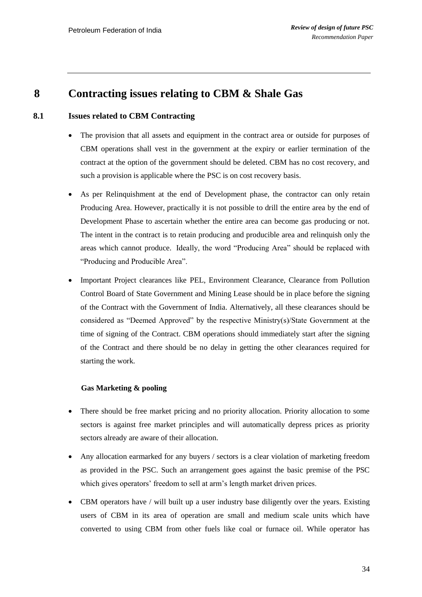### <span id="page-35-0"></span>**8 Contracting issues relating to CBM & Shale Gas**

#### **8.1 Issues related to CBM Contracting**

- The provision that all assets and equipment in the contract area or outside for purposes of CBM operations shall vest in the government at the expiry or earlier termination of the contract at the option of the government should be deleted. CBM has no cost recovery, and such a provision is applicable where the PSC is on cost recovery basis.
- As per Relinquishment at the end of Development phase, the contractor can only retain Producing Area. However, practically it is not possible to drill the entire area by the end of Development Phase to ascertain whether the entire area can become gas producing or not. The intent in the contract is to retain producing and producible area and relinquish only the areas which cannot produce. Ideally, the word "Producing Area" should be replaced with "Producing and Producible Area".
- Important Project clearances like PEL, Environment Clearance, Clearance from Pollution Control Board of State Government and Mining Lease should be in place before the signing of the Contract with the Government of India. Alternatively, all these clearances should be considered as "Deemed Approved" by the respective Ministry(s)/State Government at the time of signing of the Contract. CBM operations should immediately start after the signing of the Contract and there should be no delay in getting the other clearances required for starting the work.

#### **Gas Marketing & pooling**

- There should be free market pricing and no priority allocation. Priority allocation to some sectors is against free market principles and will automatically depress prices as priority sectors already are aware of their allocation.
- Any allocation earmarked for any buyers / sectors is a clear violation of marketing freedom as provided in the PSC. Such an arrangement goes against the basic premise of the PSC which gives operators' freedom to sell at arm's length market driven prices.
- CBM operators have / will built up a user industry base diligently over the years. Existing users of CBM in its area of operation are small and medium scale units which have converted to using CBM from other fuels like coal or furnace oil. While operator has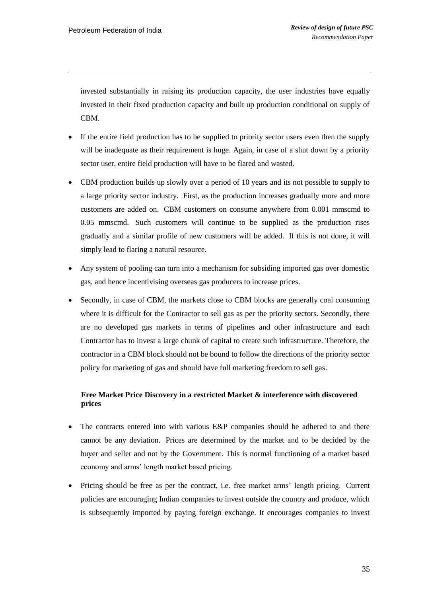invested substantially in raising its production capacity, the user industries have equally invested in their fixed production capacity and built up production conditional on supply of CBM.

- If the entire field production has to be supplied to priority sector users even then the supply will be inadequate as their requirement is huge. Again, in case of a shut down by a priority sector user, entire field production will have to be flared and wasted.
- CBM production builds up slowly over a period of 10 years and its not possible to supply to a large priority sector industry. First, as the production increases gradually more and more customers are added on. CBM customers on consume anywhere from 0.001 mmscmd to 0.05 mmscmd. Such customers will continue to be supplied as the production rises gradually and a similar profile of new customers will be added. If this is not done, it will simply lead to flaring a natural resource.
- Any system of pooling can turn into a mechanism for subsiding imported gas over domestic gas, and hence incentivising overseas gas producers to increase prices.
- Secondly, in case of CBM, the markets close to CBM blocks are generally coal consuming where it is difficult for the Contractor to sell gas as per the priority sectors. Secondly, there are no developed gas markets in terms of pipelines and other infrastructure and each Contractor has to invest a large chunk of capital to create such infrastructure. Therefore, the contractor in a CBM block should not be bound to follow the directions of the priority sector policy for marketing of gas and should have full marketing freedom to sell gas.

### **Free Market Price Discovery in a restricted Market & interference with discovered prices**

- The contracts entered into with various E&P companies should be adhered to and there cannot be any deviation. Prices are determined by the market and to be decided by the buyer and seller and not by the Government. This is normal functioning of a market based economy and arms" length market based pricing.
- Pricing should be free as per the contract, i.e. free market arms" length pricing. Current policies are encouraging Indian companies to invest outside the country and produce, which is subsequently imported by paying foreign exchange. It encourages companies to invest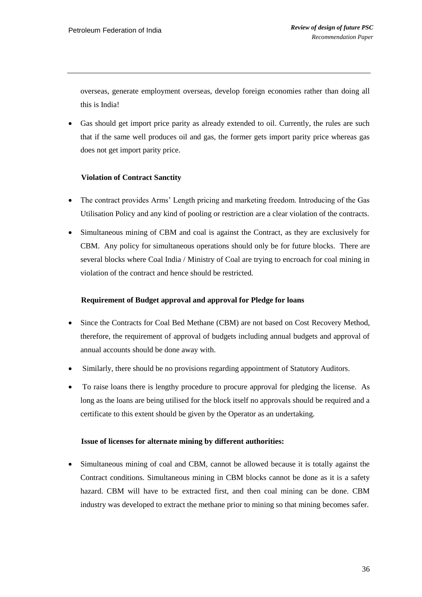overseas, generate employment overseas, develop foreign economies rather than doing all this is India!

 Gas should get import price parity as already extended to oil. Currently, the rules are such that if the same well produces oil and gas, the former gets import parity price whereas gas does not get import parity price.

### **Violation of Contract Sanctity**

- The contract provides Arms" Length pricing and marketing freedom. Introducing of the Gas Utilisation Policy and any kind of pooling or restriction are a clear violation of the contracts.
- Simultaneous mining of CBM and coal is against the Contract, as they are exclusively for CBM. Any policy for simultaneous operations should only be for future blocks. There are several blocks where Coal India / Ministry of Coal are trying to encroach for coal mining in violation of the contract and hence should be restricted.

### **Requirement of Budget approval and approval for Pledge for loans**

- Since the Contracts for Coal Bed Methane (CBM) are not based on Cost Recovery Method, therefore, the requirement of approval of budgets including annual budgets and approval of annual accounts should be done away with.
- Similarly, there should be no provisions regarding appointment of Statutory Auditors.
- To raise loans there is lengthy procedure to procure approval for pledging the license. As long as the loans are being utilised for the block itself no approvals should be required and a certificate to this extent should be given by the Operator as an undertaking.

### **Issue of licenses for alternate mining by different authorities:**

 Simultaneous mining of coal and CBM, cannot be allowed because it is totally against the Contract conditions. Simultaneous mining in CBM blocks cannot be done as it is a safety hazard. CBM will have to be extracted first, and then coal mining can be done. CBM industry was developed to extract the methane prior to mining so that mining becomes safer.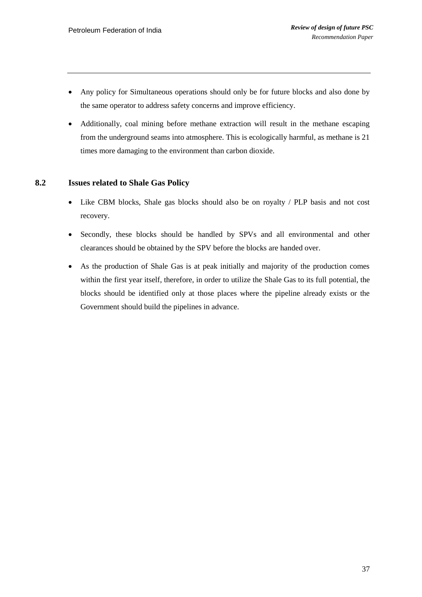- Any policy for Simultaneous operations should only be for future blocks and also done by the same operator to address safety concerns and improve efficiency.
- Additionally, coal mining before methane extraction will result in the methane escaping from the underground seams into atmosphere. This is ecologically harmful, as methane is 21 times more damaging to the environment than carbon dioxide.

### **8.2 Issues related to Shale Gas Policy**

- Like CBM blocks, Shale gas blocks should also be on royalty / PLP basis and not cost recovery.
- Secondly, these blocks should be handled by SPVs and all environmental and other clearances should be obtained by the SPV before the blocks are handed over.
- As the production of Shale Gas is at peak initially and majority of the production comes within the first year itself, therefore, in order to utilize the Shale Gas to its full potential, the blocks should be identified only at those places where the pipeline already exists or the Government should build the pipelines in advance.